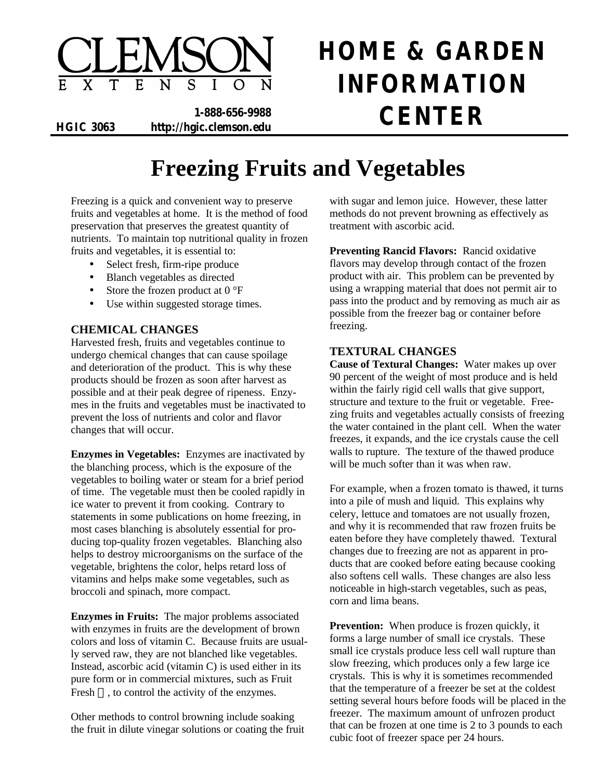

# **HOME & GARDEN INFORMATION**

**1-888-656-9988 HGIC 3063 http://hgic.clemson.edu CENTER**

# **Freezing Fruits and Vegetables**

Freezing is a quick and convenient way to preserve fruits and vegetables at home. It is the method of food preservation that preserves the greatest quantity of nutrients. To maintain top nutritional quality in frozen fruits and vegetables, it is essential to:

- Select fresh, firm-ripe produce
- Blanch vegetables as directed
- Store the frozen product at  $0^{\circ}F$
- Use within suggested storage times.

# **CHEMICAL CHANGES**

Harvested fresh, fruits and vegetables continue to undergo chemical changes that can cause spoilage and deterioration of the product. This is why these products should be frozen as soon after harvest as possible and at their peak degree of ripeness. Enzymes in the fruits and vegetables must be inactivated to prevent the loss of nutrients and color and flavor changes that will occur.

**Enzymes in Vegetables:** Enzymes are inactivated by the blanching process, which is the exposure of the vegetables to boiling water or steam for a brief period of time. The vegetable must then be cooled rapidly in ice water to prevent it from cooking. Contrary to statements in some publications on home freezing, in most cases blanching is absolutely essential for producing top-quality frozen vegetables. Blanching also helps to destroy microorganisms on the surface of the vegetable, brightens the color, helps retard loss of vitamins and helps make some vegetables, such as broccoli and spinach, more compact.

**Enzymes in Fruits:** The major problems associated with enzymes in fruits are the development of brown colors and loss of vitamin C. Because fruits are usually served raw, they are not blanched like vegetables. Instead, ascorbic acid (vitamin C) is used either in its pure form or in commercial mixtures, such as Fruit Fresh  $TM$ , to control the activity of the enzymes.

Other methods to control browning include soaking the fruit in dilute vinegar solutions or coating the fruit with sugar and lemon juice. However, these latter methods do not prevent browning as effectively as treatment with ascorbic acid.

**Preventing Rancid Flavors:** Rancid oxidative flavors may develop through contact of the frozen product with air. This problem can be prevented by using a wrapping material that does not permit air to pass into the product and by removing as much air as possible from the freezer bag or container before freezing.

#### **TEXTURAL CHANGES**

**Cause of Textural Changes:** Water makes up over 90 percent of the weight of most produce and is held within the fairly rigid cell walls that give support, structure and texture to the fruit or vegetable. Freezing fruits and vegetables actually consists of freezing the water contained in the plant cell. When the water freezes, it expands, and the ice crystals cause the cell walls to rupture. The texture of the thawed produce will be much softer than it was when raw.

For example, when a frozen tomato is thawed, it turns into a pile of mush and liquid. This explains why celery, lettuce and tomatoes are not usually frozen, and why it is recommended that raw frozen fruits be eaten before they have completely thawed. Textural changes due to freezing are not as apparent in products that are cooked before eating because cooking also softens cell walls. These changes are also less noticeable in high-starch vegetables, such as peas, corn and lima beans.

**Prevention:** When produce is frozen quickly, it forms a large number of small ice crystals. These small ice crystals produce less cell wall rupture than slow freezing, which produces only a few large ice crystals. This is why it is sometimes recommended that the temperature of a freezer be set at the coldest setting several hours before foods will be placed in the freezer. The maximum amount of unfrozen product that can be frozen at one time is 2 to 3 pounds to each cubic foot of freezer space per 24 hours.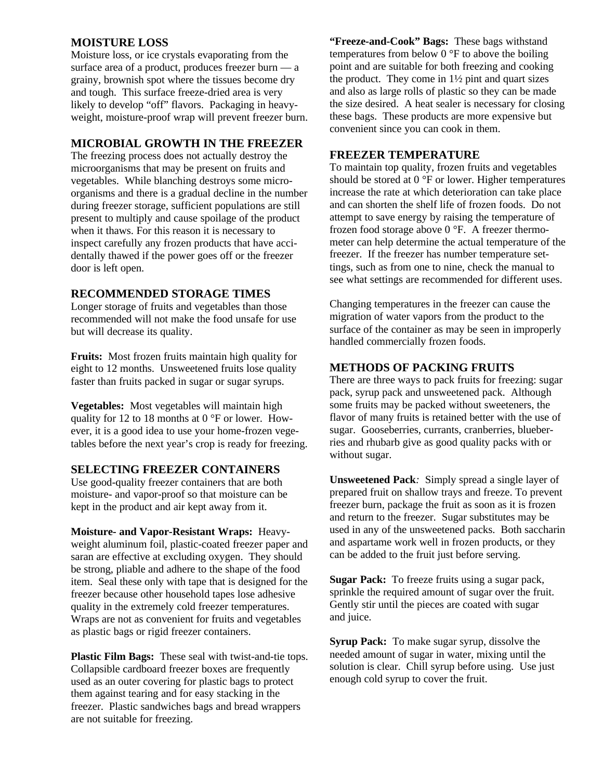#### **MOISTURE LOSS**

Moisture loss, or ice crystals evaporating from the surface area of a product, produces freezer burn — a grainy, brownish spot where the tissues become dry and tough. This surface freeze-dried area is very likely to develop "off" flavors. Packaging in heavyweight, moisture-proof wrap will prevent freezer burn.

# **MICROBIAL GROWTH IN THE FREEZER**

The freezing process does not actually destroy the microorganisms that may be present on fruits and vegetables. While blanching destroys some microorganisms and there is a gradual decline in the number during freezer storage, sufficient populations are still present to multiply and cause spoilage of the product when it thaws. For this reason it is necessary to inspect carefully any frozen products that have accidentally thawed if the power goes off or the freezer door is left open.

# **RECOMMENDED STORAGE TIMES**

Longer storage of fruits and vegetables than those recommended will not make the food unsafe for use but will decrease its quality.

**Fruits:** Most frozen fruits maintain high quality for eight to 12 months. Unsweetened fruits lose quality faster than fruits packed in sugar or sugar syrups.

**Vegetables:** Most vegetables will maintain high quality for 12 to 18 months at 0 °F or lower. However, it is a good idea to use your home-frozen vegetables before the next year's crop is ready for freezing.

# **SELECTING FREEZER CONTAINERS**

Use good-quality freezer containers that are both moisture- and vapor-proof so that moisture can be kept in the product and air kept away from it.

**Moisture- and Vapor-Resistant Wraps:** Heavyweight aluminum foil, plastic-coated freezer paper and saran are effective at excluding oxygen. They should be strong, pliable and adhere to the shape of the food item. Seal these only with tape that is designed for the freezer because other household tapes lose adhesive quality in the extremely cold freezer temperatures. Wraps are not as convenient for fruits and vegetables as plastic bags or rigid freezer containers.

**Plastic Film Bags:** These seal with twist-and-tie tops. Collapsible cardboard freezer boxes are frequently used as an outer covering for plastic bags to protect them against tearing and for easy stacking in the freezer. Plastic sandwiches bags and bread wrappers are not suitable for freezing.

**"Freeze-and-Cook" Bags:** These bags withstand temperatures from below  $0^{\circ}$ F to above the boiling point and are suitable for both freezing and cooking the product. They come in  $1\frac{1}{2}$  pint and quart sizes and also as large rolls of plastic so they can be made the size desired. A heat sealer is necessary for closing these bags. These products are more expensive but convenient since you can cook in them.

# **FREEZER TEMPERATURE**

To maintain top quality, frozen fruits and vegetables should be stored at 0 °F or lower. Higher temperatures increase the rate at which deterioration can take place and can shorten the shelf life of frozen foods. Do not attempt to save energy by raising the temperature of frozen food storage above 0 °F. A freezer thermometer can help determine the actual temperature of the freezer. If the freezer has number temperature settings, such as from one to nine, check the manual to see what settings are recommended for different uses.

Changing temperatures in the freezer can cause the migration of water vapors from the product to the surface of the container as may be seen in improperly handled commercially frozen foods.

# **METHODS OF PACKING FRUITS**

There are three ways to pack fruits for freezing: sugar pack, syrup pack and unsweetened pack. Although some fruits may be packed without sweeteners, the flavor of many fruits is retained better with the use of sugar. Gooseberries, currants, cranberries, blueberries and rhubarb give as good quality packs with or without sugar.

**Unsweetened Pack***:* Simply spread a single layer of prepared fruit on shallow trays and freeze. To prevent freezer burn, package the fruit as soon as it is frozen and return to the freezer. Sugar substitutes may be used in any of the unsweetened packs. Both saccharin and aspartame work well in frozen products, or they can be added to the fruit just before serving.

**Sugar Pack:**To freeze fruits using a sugar pack, sprinkle the required amount of sugar over the fruit. Gently stir until the pieces are coated with sugar and juice.

**Syrup Pack:**To make sugar syrup, dissolve the needed amount of sugar in water, mixing until the solution is clear. Chill syrup before using. Use just enough cold syrup to cover the fruit.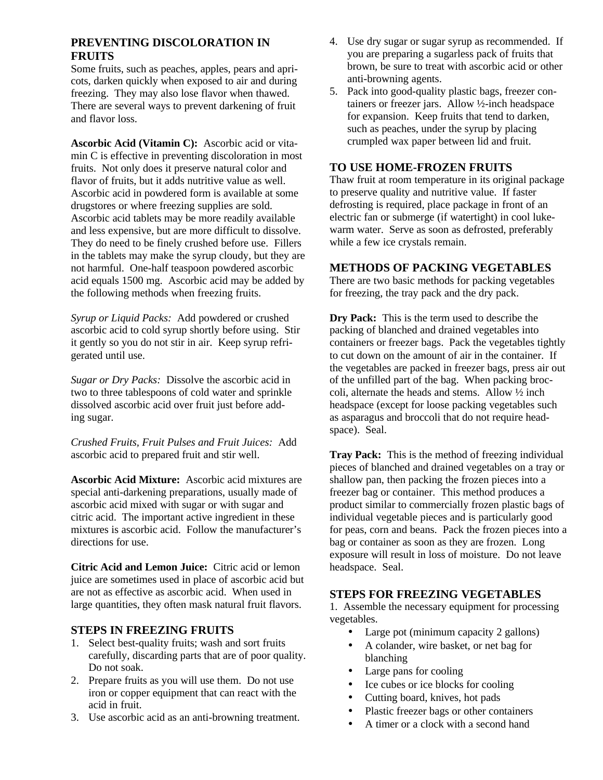# **PREVENTING DISCOLORATION IN FRUITS**

Some fruits, such as peaches, apples, pears and apricots, darken quickly when exposed to air and during freezing. They may also lose flavor when thawed. There are several ways to prevent darkening of fruit and flavor loss.

**Ascorbic Acid (Vitamin C):**Ascorbic acid or vitamin C is effective in preventing discoloration in most fruits. Not only does it preserve natural color and flavor of fruits, but it adds nutritive value as well. Ascorbic acid in powdered form is available at some drugstores or where freezing supplies are sold. Ascorbic acid tablets may be more readily available and less expensive, but are more difficult to dissolve. They do need to be finely crushed before use. Fillers in the tablets may make the syrup cloudy, but they are not harmful. One-half teaspoon powdered ascorbic acid equals 1500 mg. Ascorbic acid may be added by the following methods when freezing fruits.

*Syrup or Liquid Packs:* Add powdered or crushed ascorbic acid to cold syrup shortly before using. Stir it gently so you do not stir in air. Keep syrup refrigerated until use.

*Sugar or Dry Packs:* Dissolve the ascorbic acid in two to three tablespoons of cold water and sprinkle dissolved ascorbic acid over fruit just before adding sugar.

*Crushed Fruits, Fruit Pulses and Fruit Juices:* Add ascorbic acid to prepared fruit and stir well.

**Ascorbic Acid Mixture:** Ascorbic acid mixtures are special anti-darkening preparations, usually made of ascorbic acid mixed with sugar or with sugar and citric acid. The important active ingredient in these mixtures is ascorbic acid. Follow the manufacturer's directions for use.

**Citric Acid and Lemon Juice:**Citric acid or lemon juice are sometimes used in place of ascorbic acid but are not as effective as ascorbic acid. When used in large quantities, they often mask natural fruit flavors.

# **STEPS IN FREEZING FRUITS**

- 1. Select best-quality fruits; wash and sort fruits carefully, discarding parts that are of poor quality. Do not soak.
- 2. Prepare fruits as you will use them. Do not use iron or copper equipment that can react with the acid in fruit.
- 3. Use ascorbic acid as an anti-browning treatment.
- 4. Use dry sugar or sugar syrup as recommended. If you are preparing a sugarless pack of fruits that brown, be sure to treat with ascorbic acid or other anti-browning agents.
- 5. Pack into good-quality plastic bags, freezer containers or freezer jars. Allow ½-inch headspace for expansion. Keep fruits that tend to darken, such as peaches, under the syrup by placing crumpled wax paper between lid and fruit.

#### **TO USE HOME-FROZEN FRUITS**

Thaw fruit at room temperature in its original package to preserve quality and nutritive value. If faster defrosting is required, place package in front of an electric fan or submerge (if watertight) in cool lukewarm water. Serve as soon as defrosted, preferably while a few ice crystals remain.

#### **METHODS OF PACKING VEGETABLES**

There are two basic methods for packing vegetables for freezing, the tray pack and the dry pack.

**Dry Pack:**This is the term used to describe the packing of blanched and drained vegetables into containers or freezer bags. Pack the vegetables tightly to cut down on the amount of air in the container. If the vegetables are packed in freezer bags, press air out of the unfilled part of the bag. When packing broccoli, alternate the heads and stems. Allow ½ inch headspace (except for loose packing vegetables such as asparagus and broccoli that do not require headspace). Seal.

**Tray Pack:** This is the method of freezing individual pieces of blanched and drained vegetables on a tray or shallow pan, then packing the frozen pieces into a freezer bag or container. This method produces a product similar to commercially frozen plastic bags of individual vegetable pieces and is particularly good for peas, corn and beans. Pack the frozen pieces into a bag or container as soon as they are frozen. Long exposure will result in loss of moisture. Do not leave headspace. Seal.

#### **STEPS FOR FREEZING VEGETABLES**

1. Assemble the necessary equipment for processing vegetables.

- Large pot (minimum capacity 2 gallons)
- A colander, wire basket, or net bag for blanching
- Large pans for cooling
- Ice cubes or ice blocks for cooling
- Cutting board, knives, hot pads
- Plastic freezer bags or other containers
- A timer or a clock with a second hand